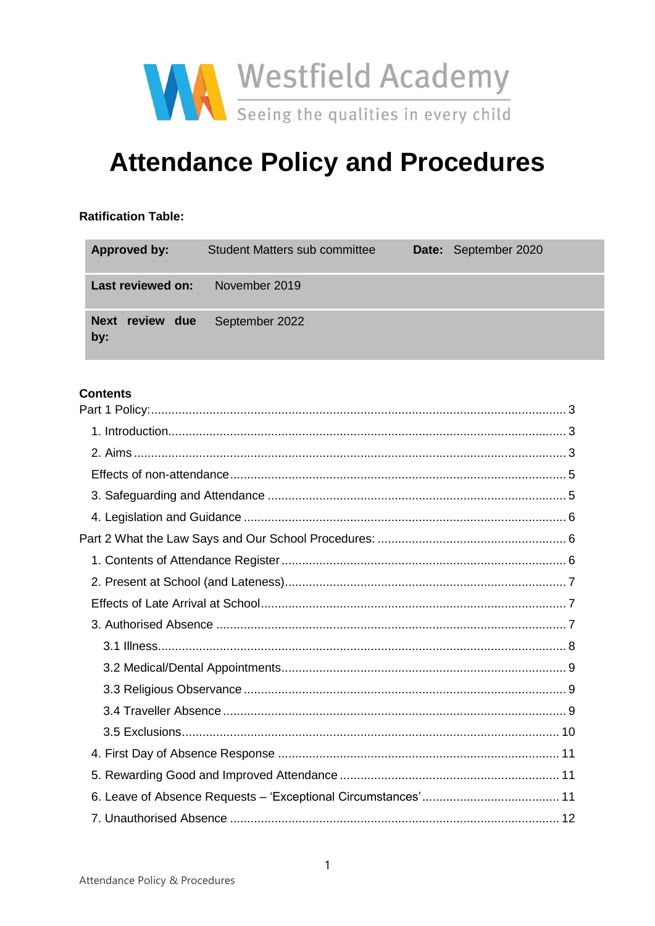

# **Attendance Policy and Procedures**

#### **Ratification Table:**

| Approved by:           | <b>Student Matters sub committee</b> | Date: September 2020 |
|------------------------|--------------------------------------|----------------------|
| Last reviewed on:      | November 2019                        |                      |
| Next review due<br>by: | September 2022                       |                      |

## **Contents**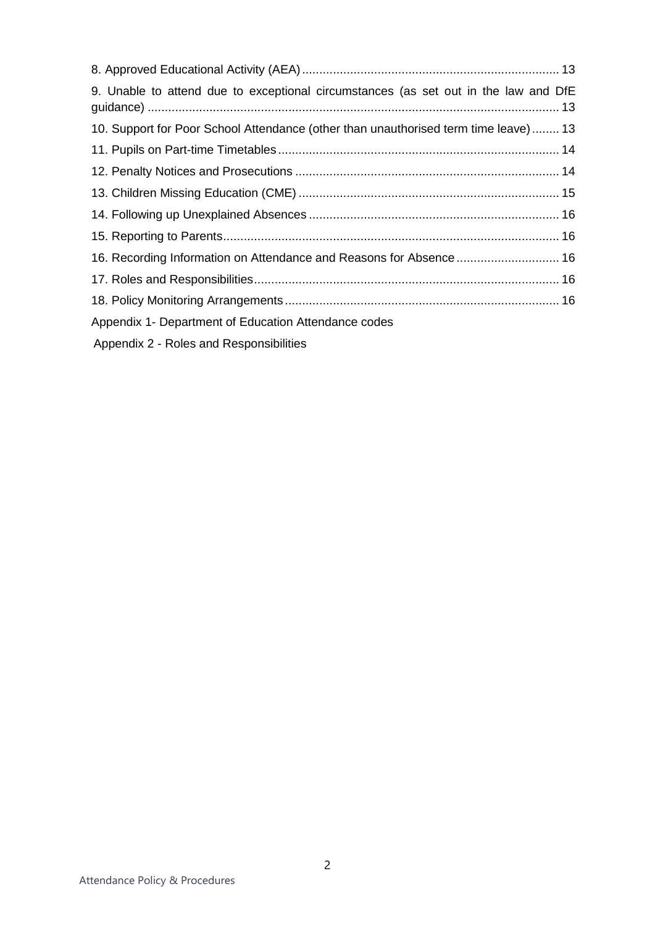| 9. Unable to attend due to exceptional circumstances (as set out in the law and DfE |  |
|-------------------------------------------------------------------------------------|--|
| 10. Support for Poor School Attendance (other than unauthorised term time leave) 13 |  |
|                                                                                     |  |
|                                                                                     |  |
|                                                                                     |  |
|                                                                                     |  |
|                                                                                     |  |
| 16. Recording Information on Attendance and Reasons for Absence 16                  |  |
|                                                                                     |  |
|                                                                                     |  |
| Appendix 1- Department of Education Attendance codes                                |  |
| Appendix 2 - Roles and Responsibilities                                             |  |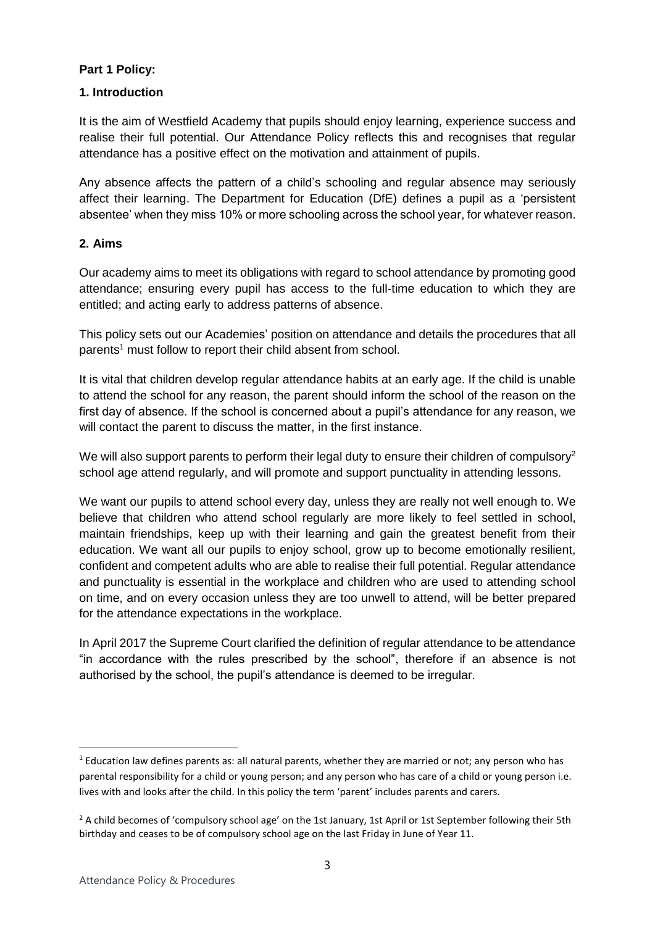## <span id="page-2-0"></span>**Part 1 Policy:**

#### <span id="page-2-1"></span>**1. Introduction**

It is the aim of Westfield Academy that pupils should enjoy learning, experience success and realise their full potential. Our Attendance Policy reflects this and recognises that regular attendance has a positive effect on the motivation and attainment of pupils.

Any absence affects the pattern of a child's schooling and regular absence may seriously affect their learning. The Department for Education (DfE) defines a pupil as a 'persistent absentee' when they miss 10% or more schooling across the school year, for whatever reason.

### <span id="page-2-2"></span>**2. Aims**

Our academy aims to meet its obligations with regard to school attendance by promoting good attendance; ensuring every pupil has access to the full-time education to which they are entitled; and acting early to address patterns of absence.

This policy sets out our Academies' position on attendance and details the procedures that all parents<sup>1</sup> must follow to report their child absent from school.

It is vital that children develop regular attendance habits at an early age. If the child is unable to attend the school for any reason, the parent should inform the school of the reason on the first day of absence. If the school is concerned about a pupil's attendance for any reason, we will contact the parent to discuss the matter, in the first instance.

We will also support parents to perform their legal duty to ensure their children of compulsory<sup>2</sup> school age attend regularly, and will promote and support punctuality in attending lessons.

We want our pupils to attend school every day, unless they are really not well enough to. We believe that children who attend school regularly are more likely to feel settled in school, maintain friendships, keep up with their learning and gain the greatest benefit from their education. We want all our pupils to enjoy school, grow up to become emotionally resilient, confident and competent adults who are able to realise their full potential. Regular attendance and punctuality is essential in the workplace and children who are used to attending school on time, and on every occasion unless they are too unwell to attend, will be better prepared for the attendance expectations in the workplace.

In April 2017 the Supreme Court clarified the definition of regular attendance to be attendance "in accordance with the rules prescribed by the school", therefore if an absence is not authorised by the school, the pupil's attendance is deemed to be irregular.

**.** 

<sup>&</sup>lt;sup>1</sup> Education law defines parents as: all natural parents, whether they are married or not; any person who has parental responsibility for a child or young person; and any person who has care of a child or young person i.e. lives with and looks after the child. In this policy the term 'parent' includes parents and carers.

<sup>&</sup>lt;sup>2</sup> A child becomes of 'compulsory school age' on the 1st January, 1st April or 1st September following their 5th birthday and ceases to be of compulsory school age on the last Friday in June of Year 11.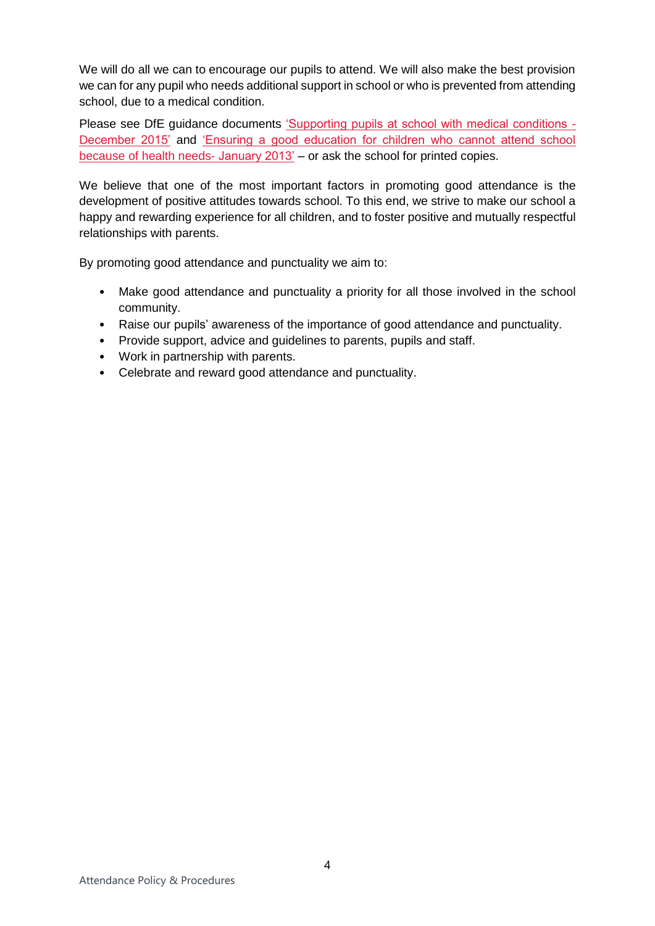We will do all we can to encourage our pupils to attend. We will also make the best provision we can for any pupil who needs additional support in school or who is prevented from attending school, due to a medical condition.

Please see DfE guidance documents ['Supporting pupils at school with medical conditions -](https://www.gov.uk/government/publications/supporting-pupils-at-school-with-medical-conditions--3) [December 2015'](https://www.gov.uk/government/publications/supporting-pupils-at-school-with-medical-conditions--3) and ['Ensuring a good education for children who cannot attend school](https://www.gov.uk/government/publications/education-for-children-with-health-needs-who-cannot-attend-school)  [because of health needs-](https://www.gov.uk/government/publications/education-for-children-with-health-needs-who-cannot-attend-school) January 2013' – or ask the school for printed copies.

We believe that one of the most important factors in promoting good attendance is the development of positive attitudes towards school. To this end, we strive to make our school a happy and rewarding experience for all children, and to foster positive and mutually respectful relationships with parents.

By promoting good attendance and punctuality we aim to:

- Make good attendance and punctuality a priority for all those involved in the school community.
- Raise our pupils' awareness of the importance of good attendance and punctuality.
- Provide support, advice and guidelines to parents, pupils and staff.
- Work in partnership with parents.
- <span id="page-3-0"></span>• Celebrate and reward good attendance and punctuality.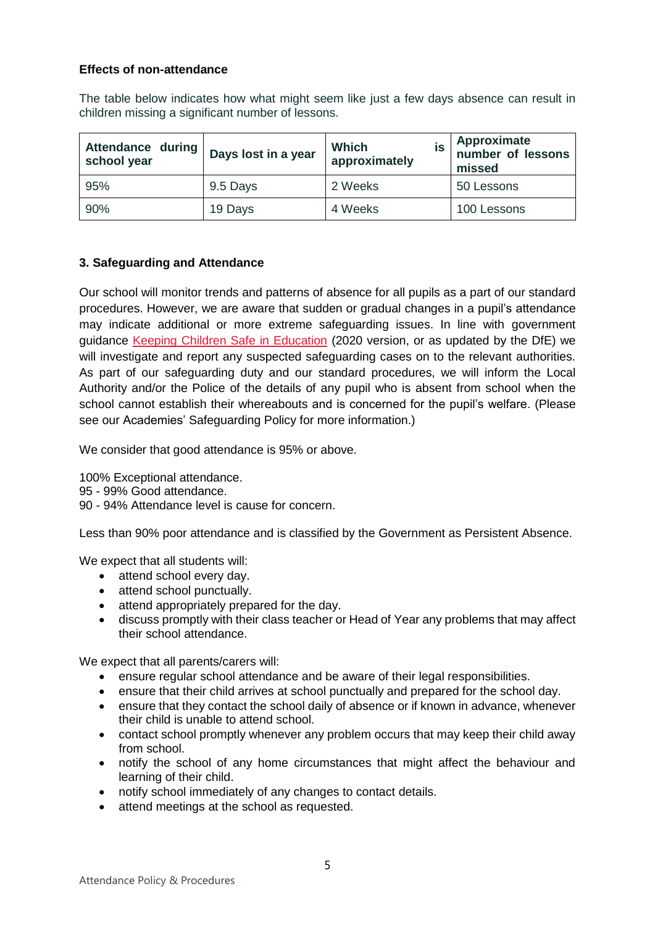#### **Effects of non-attendance**

The table below indicates how what might seem like just a few days absence can result in children missing a significant number of lessons.

| Attendance during<br>school year | Days lost in a year | <b>Which</b><br>İS<br>approximately | Approximate<br>number of lessons<br>missed |
|----------------------------------|---------------------|-------------------------------------|--------------------------------------------|
| 95%                              | 9.5 Days            | 2 Weeks                             | 50 Lessons                                 |
| 90%                              | 19 Days             | 4 Weeks                             | 100 Lessons                                |

## <span id="page-4-0"></span>**3. Safeguarding and Attendance**

Our school will monitor trends and patterns of absence for all pupils as a part of our standard procedures. However, we are aware that sudden or gradual changes in a pupil's attendance may indicate additional or more extreme safeguarding issues. In line with government guidance [Keeping Children Safe in Education](https://www.gov.uk/government/publications/keeping-children-safe-in-education--2) (2020 version, or as updated by the DfE) we will investigate and report any suspected safeguarding cases on to the relevant authorities. As part of our safeguarding duty and our standard procedures, we will inform the Local Authority and/or the Police of the details of any pupil who is absent from school when the school cannot establish their whereabouts and is concerned for the pupil's welfare. (Please see our Academies' Safeguarding Policy for more information.)

We consider that good attendance is 95% or above.

100% Exceptional attendance.

95 - 99% Good attendance.

90 - 94% Attendance level is cause for concern.

Less than 90% poor attendance and is classified by the Government as Persistent Absence.

We expect that all students will:

- attend school every day.
- attend school punctually.
- attend appropriately prepared for the day.
- discuss promptly with their class teacher or Head of Year any problems that may affect their school attendance.

We expect that all parents/carers will:

- ensure regular school attendance and be aware of their legal responsibilities.
- ensure that their child arrives at school punctually and prepared for the school day.
- ensure that they contact the school daily of absence or if known in advance, whenever their child is unable to attend school.
- contact school promptly whenever any problem occurs that may keep their child away from school.
- notify the school of any home circumstances that might affect the behaviour and learning of their child.
- notify school immediately of any changes to contact details.
- attend meetings at the school as requested.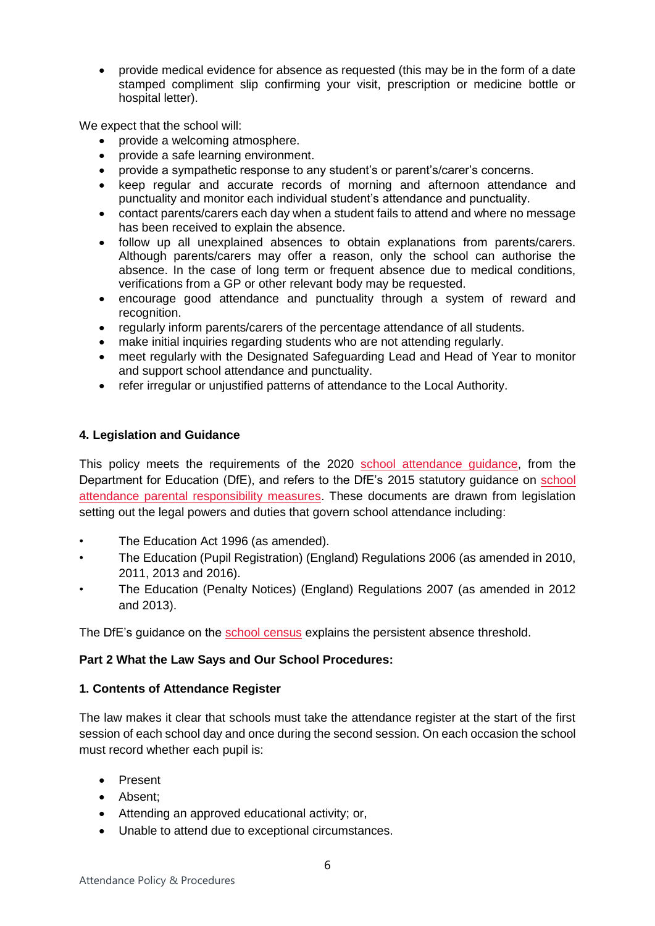• provide medical evidence for absence as requested (this may be in the form of a date stamped compliment slip confirming your visit, prescription or medicine bottle or hospital letter).

We expect that the school will:

- provide a welcoming atmosphere.
- provide a safe learning environment.
- provide a sympathetic response to any student's or parent's/carer's concerns.
- keep regular and accurate records of morning and afternoon attendance and punctuality and monitor each individual student's attendance and punctuality.
- contact parents/carers each day when a student fails to attend and where no message has been received to explain the absence.
- follow up all unexplained absences to obtain explanations from parents/carers. Although parents/carers may offer a reason, only the school can authorise the absence. In the case of long term or frequent absence due to medical conditions, verifications from a GP or other relevant body may be requested.
- encourage good attendance and punctuality through a system of reward and recognition.
- regularly inform parents/carers of the percentage attendance of all students.
- make initial inquiries regarding students who are not attending regularly.
- meet regularly with the Designated Safeguarding Lead and Head of Year to monitor and support school attendance and punctuality.
- refer irregular or unjustified patterns of attendance to the Local Authority.

### <span id="page-5-0"></span>**4. Legislation and Guidance**

This policy meets the requirements of the 2020 [school attendance guidance,](https://assets.publishing.service.gov.uk/government/uploads/system/uploads/attachment_data/file/907535/School_attendance_guidance_for_2020_to_2021_academic_year.pdf) from the Department for Education (DfE), and refers to the DfE's 2015 statutory guidance on [school](https://www.gov.uk/government/publications/parental-responsibility-measures-for-behaviour-and-attendance)  [attendance parental responsibility measures.](https://www.gov.uk/government/publications/parental-responsibility-measures-for-behaviour-and-attendance) These documents are drawn from legislation setting out the legal powers and duties that govern school attendance including:

- The Education Act 1996 (as amended).
- The Education (Pupil Registration) (England) Regulations 2006 (as amended in 2010, 2011, 2013 and 2016).
- The Education (Penalty Notices) (England) Regulations 2007 (as amended in 2012 and 2013).

The DfE's guidance on the [school census](https://www.gov.uk/government/publications/school-census-2017-to-2018-guide-for-schools-and-las) explains the persistent absence threshold.

#### <span id="page-5-1"></span>**Part 2 What the Law Says and Our School Procedures:**

#### <span id="page-5-2"></span>**1. Contents of Attendance Register**

The law makes it clear that schools must take the attendance register at the start of the first session of each school day and once during the second session. On each occasion the school must record whether each pupil is:

- Present
- Absent;
- Attending an approved educational activity; or,
- Unable to attend due to exceptional circumstances.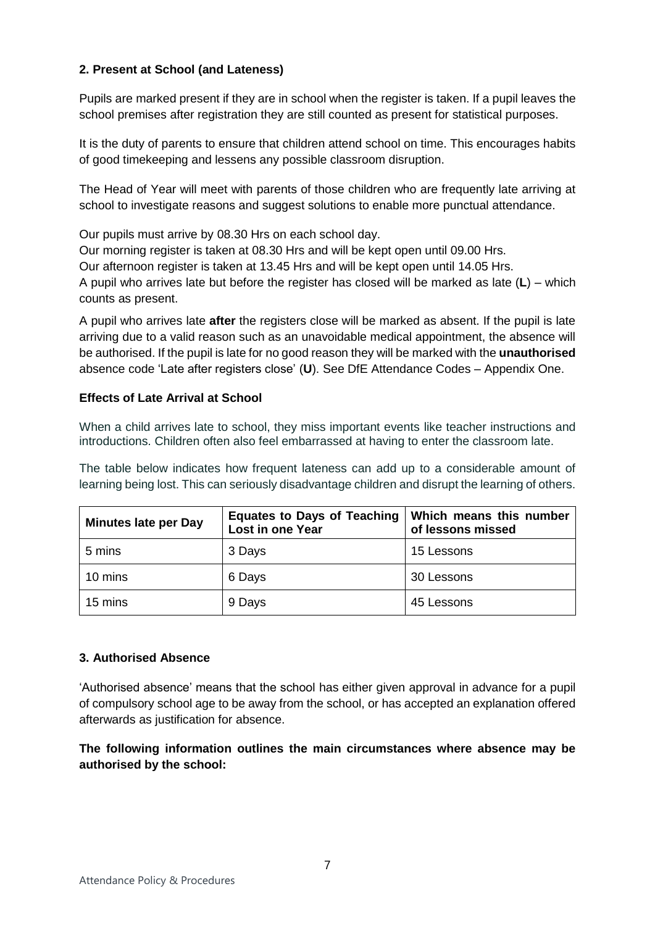## <span id="page-6-0"></span>**2. Present at School (and Lateness)**

Pupils are marked present if they are in school when the register is taken. If a pupil leaves the school premises after registration they are still counted as present for statistical purposes.

It is the duty of parents to ensure that children attend school on time. This encourages habits of good timekeeping and lessens any possible classroom disruption.

The Head of Year will meet with parents of those children who are frequently late arriving at school to investigate reasons and suggest solutions to enable more punctual attendance.

Our pupils must arrive by 08.30 Hrs on each school day.

Our morning register is taken at 08.30 Hrs and will be kept open until 09.00 Hrs.

Our afternoon register is taken at 13.45 Hrs and will be kept open until 14.05 Hrs.

A pupil who arrives late but before the register has closed will be marked as late (**L**) – which counts as present.

A pupil who arrives late **after** the registers close will be marked as absent. If the pupil is late arriving due to a valid reason such as an unavoidable medical appointment, the absence will be authorised. If the pupil is late for no good reason they will be marked with the **unauthorised** absence code 'Late after registers close' (**U**). See DfE Attendance Codes – Appendix One.

### <span id="page-6-1"></span>**Effects of Late Arrival at School**

When a child arrives late to school, they miss important events like teacher instructions and introductions. Children often also feel embarrassed at having to enter the classroom late.

The table below indicates how frequent lateness can add up to a considerable amount of learning being lost. This can seriously disadvantage children and disrupt the learning of others.

| <b>Minutes late per Day</b> | Equates to Days of Teaching<br><b>Lost in one Year</b> | Which means this number<br>of lessons missed |
|-----------------------------|--------------------------------------------------------|----------------------------------------------|
| 5 mins                      | 3 Days                                                 | 15 Lessons                                   |
| 10 mins                     | 6 Days                                                 | 30 Lessons                                   |
| 15 mins                     | 9 Days                                                 | 45 Lessons                                   |

#### <span id="page-6-2"></span>**3. Authorised Absence**

'Authorised absence' means that the school has either given approval in advance for a pupil of compulsory school age to be away from the school, or has accepted an explanation offered afterwards as justification for absence.

**The following information outlines the main circumstances where absence may be authorised by the school:**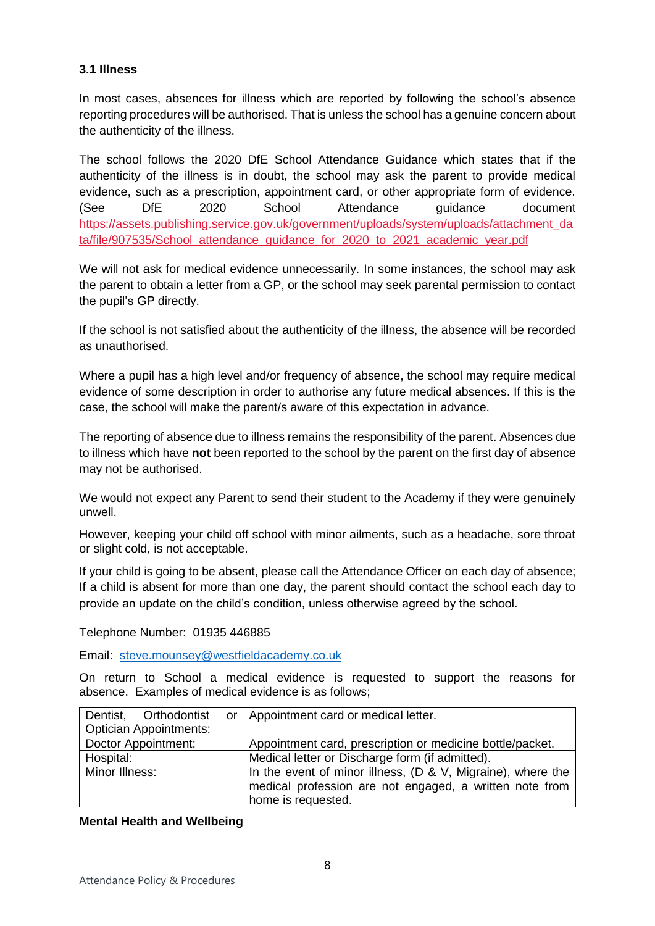### <span id="page-7-0"></span>**3.1 Illness**

In most cases, absences for illness which are reported by following the school's absence reporting procedures will be authorised. That is unless the school has a genuine concern about the authenticity of the illness.

The school follows the 2020 DfE School Attendance Guidance which states that if the authenticity of the illness is in doubt, the school may ask the parent to provide medical evidence, such as a prescription, appointment card, or other appropriate form of evidence. (See DfE 2020 School Attendance guidance document [https://assets.publishing.service.gov.uk/government/uploads/system/uploads/attachment\\_da](https://assets.publishing.service.gov.uk/government/uploads/system/uploads/attachment_data/file/907535/School_attendance_guidance_for_2020_to_2021_academic_year.pdf) ta/file/907535/School\_attendance\_quidance\_for\_2020\_to\_2021\_academic\_year.pdf

We will not ask for medical evidence unnecessarily. In some instances, the school may ask the parent to obtain a letter from a GP, or the school may seek parental permission to contact the pupil's GP directly.

If the school is not satisfied about the authenticity of the illness, the absence will be recorded as unauthorised.

Where a pupil has a high level and/or frequency of absence, the school may require medical evidence of some description in order to authorise any future medical absences. If this is the case, the school will make the parent/s aware of this expectation in advance.

The reporting of absence due to illness remains the responsibility of the parent. Absences due to illness which have **not** been reported to the school by the parent on the first day of absence may not be authorised.

We would not expect any Parent to send their student to the Academy if they were genuinely unwell.

However, keeping your child off school with minor ailments, such as a headache, sore throat or slight cold, is not acceptable.

If your child is going to be absent, please call the Attendance Officer on each day of absence; If a child is absent for more than one day, the parent should contact the school each day to provide an update on the child's condition, unless otherwise agreed by the school.

#### Telephone Number: 01935 446885

Email: [steve.mounsey@westfieldacademy.co.uk](mailto:steve.mounsey@westfieldacademy.co.uk)

On return to School a medical evidence is requested to support the reasons for absence. Examples of medical evidence is as follows;

| Dentist, Orthodontist         |  | or   Appointment card or medical letter.                                                                                 |
|-------------------------------|--|--------------------------------------------------------------------------------------------------------------------------|
| <b>Optician Appointments:</b> |  |                                                                                                                          |
| Doctor Appointment:           |  | Appointment card, prescription or medicine bottle/packet.                                                                |
| Hospital:                     |  | Medical letter or Discharge form (if admitted).                                                                          |
| Minor Illness:                |  | In the event of minor illness, $(D & V,$ Migraine), where the<br>medical profession are not engaged, a written note from |
|                               |  | home is requested.                                                                                                       |

#### **Mental Health and Wellbeing**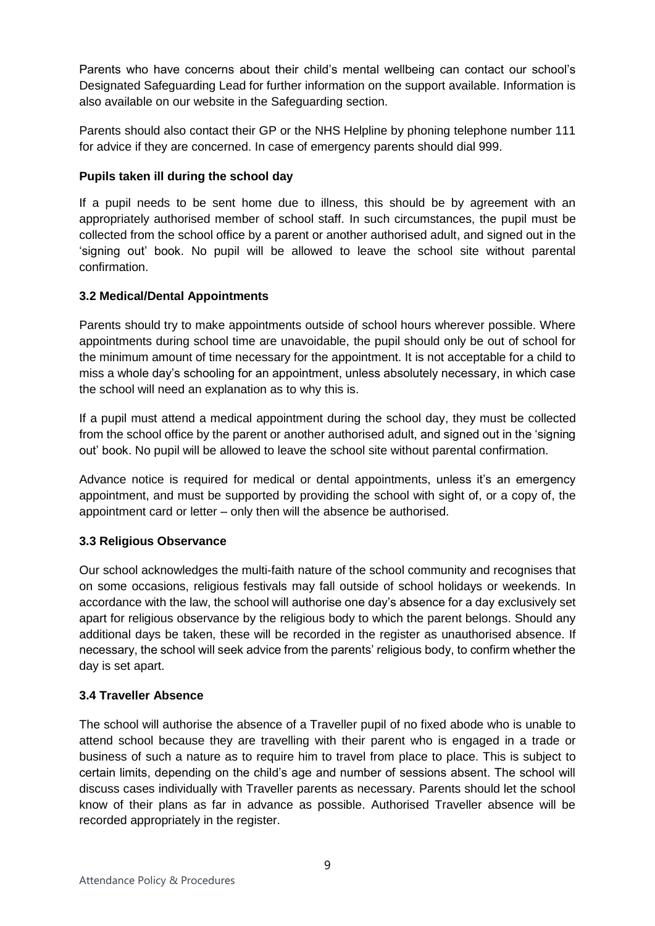Parents who have concerns about their child's mental wellbeing can contact our school's Designated Safeguarding Lead for further information on the support available. Information is also available on our website in the Safeguarding section.

Parents should also contact their GP or the NHS Helpline by phoning telephone number 111 for advice if they are concerned. In case of emergency parents should dial 999.

## **Pupils taken ill during the school day**

If a pupil needs to be sent home due to illness, this should be by agreement with an appropriately authorised member of school staff. In such circumstances, the pupil must be collected from the school office by a parent or another authorised adult, and signed out in the 'signing out' book. No pupil will be allowed to leave the school site without parental confirmation.

## <span id="page-8-0"></span>**3.2 Medical/Dental Appointments**

Parents should try to make appointments outside of school hours wherever possible. Where appointments during school time are unavoidable, the pupil should only be out of school for the minimum amount of time necessary for the appointment. It is not acceptable for a child to miss a whole day's schooling for an appointment, unless absolutely necessary, in which case the school will need an explanation as to why this is.

If a pupil must attend a medical appointment during the school day, they must be collected from the school office by the parent or another authorised adult, and signed out in the 'signing out' book. No pupil will be allowed to leave the school site without parental confirmation.

Advance notice is required for medical or dental appointments, unless it's an emergency appointment, and must be supported by providing the school with sight of, or a copy of, the appointment card or letter – only then will the absence be authorised.

## <span id="page-8-1"></span>**3.3 Religious Observance**

Our school acknowledges the multi-faith nature of the school community and recognises that on some occasions, religious festivals may fall outside of school holidays or weekends. In accordance with the law, the school will authorise one day's absence for a day exclusively set apart for religious observance by the religious body to which the parent belongs. Should any additional days be taken, these will be recorded in the register as unauthorised absence. If necessary, the school will seek advice from the parents' religious body, to confirm whether the day is set apart.

## <span id="page-8-2"></span>**3.4 Traveller Absence**

The school will authorise the absence of a Traveller pupil of no fixed abode who is unable to attend school because they are travelling with their parent who is engaged in a trade or business of such a nature as to require him to travel from place to place. This is subject to certain limits, depending on the child's age and number of sessions absent. The school will discuss cases individually with Traveller parents as necessary. Parents should let the school know of their plans as far in advance as possible. Authorised Traveller absence will be recorded appropriately in the register.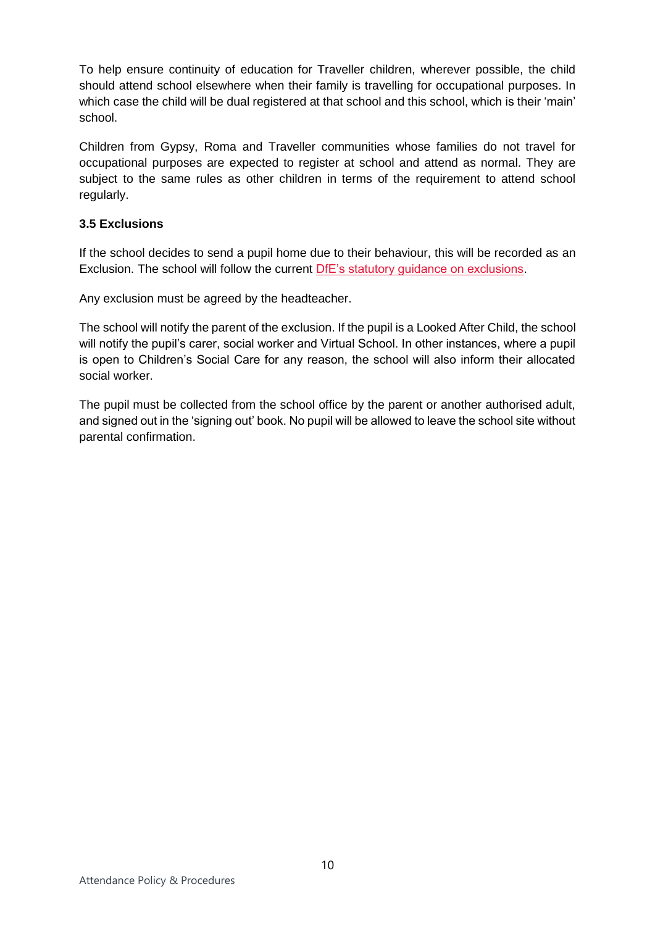To help ensure continuity of education for Traveller children, wherever possible, the child should attend school elsewhere when their family is travelling for occupational purposes. In which case the child will be dual registered at that school and this school, which is their 'main' school.

Children from Gypsy, Roma and Traveller communities whose families do not travel for occupational purposes are expected to register at school and attend as normal. They are subject to the same rules as other children in terms of the requirement to attend school regularly.

## <span id="page-9-0"></span>**3.5 Exclusions**

If the school decides to send a pupil home due to their behaviour, this will be recorded as an Exclusion. The school will follow the current [DfE's statutory guidance on exclusions.](https://www.gov.uk/government/publications/school-exclusion)

Any exclusion must be agreed by the headteacher.

The school will notify the parent of the exclusion. If the pupil is a Looked After Child, the school will notify the pupil's carer, social worker and Virtual School. In other instances, where a pupil is open to Children's Social Care for any reason, the school will also inform their allocated social worker.

<span id="page-9-1"></span>The pupil must be collected from the school office by the parent or another authorised adult, and signed out in the 'signing out' book. No pupil will be allowed to leave the school site without parental confirmation.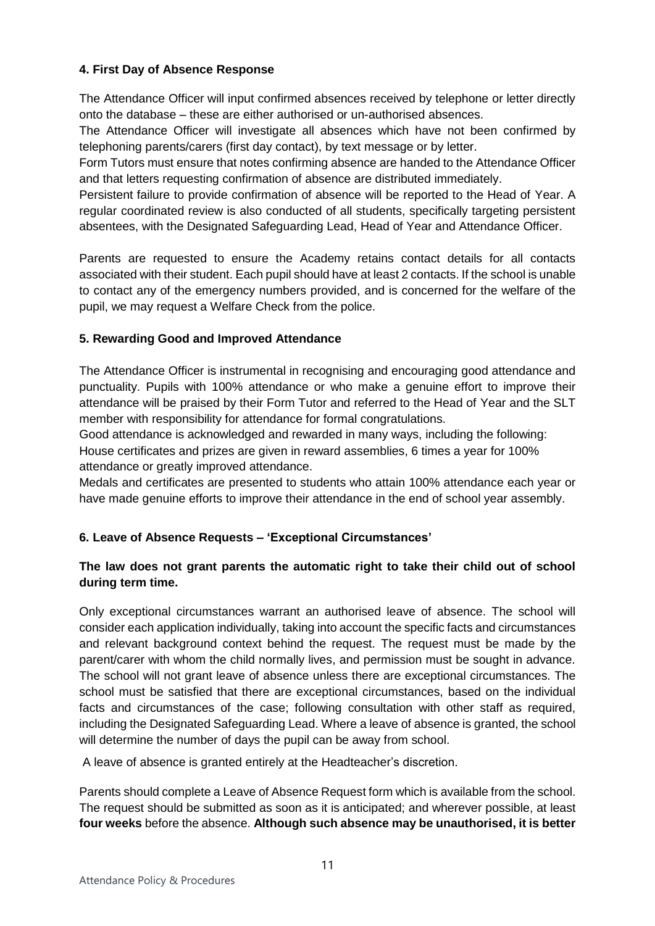## **4. First Day of Absence Response**

The Attendance Officer will input confirmed absences received by telephone or letter directly onto the database – these are either authorised or un-authorised absences.

The Attendance Officer will investigate all absences which have not been confirmed by telephoning parents/carers (first day contact), by text message or by letter.

Form Tutors must ensure that notes confirming absence are handed to the Attendance Officer and that letters requesting confirmation of absence are distributed immediately.

Persistent failure to provide confirmation of absence will be reported to the Head of Year. A regular coordinated review is also conducted of all students, specifically targeting persistent absentees, with the Designated Safeguarding Lead, Head of Year and Attendance Officer.

Parents are requested to ensure the Academy retains contact details for all contacts associated with their student. Each pupil should have at least 2 contacts. If the school is unable to contact any of the emergency numbers provided, and is concerned for the welfare of the pupil, we may request a Welfare Check from the police.

### <span id="page-10-0"></span>**5. Rewarding Good and Improved Attendance**

The Attendance Officer is instrumental in recognising and encouraging good attendance and punctuality. Pupils with 100% attendance or who make a genuine effort to improve their attendance will be praised by their Form Tutor and referred to the Head of Year and the SLT member with responsibility for attendance for formal congratulations.

Good attendance is acknowledged and rewarded in many ways, including the following: House certificates and prizes are given in reward assemblies, 6 times a year for 100% attendance or greatly improved attendance.

Medals and certificates are presented to students who attain 100% attendance each year or have made genuine efforts to improve their attendance in the end of school year assembly.

## <span id="page-10-1"></span>**6. Leave of Absence Requests – 'Exceptional Circumstances'**

## **The law does not grant parents the automatic right to take their child out of school during term time.**

Only exceptional circumstances warrant an authorised leave of absence. The school will consider each application individually, taking into account the specific facts and circumstances and relevant background context behind the request. The request must be made by the parent/carer with whom the child normally lives, and permission must be sought in advance. The school will not grant leave of absence unless there are exceptional circumstances. The school must be satisfied that there are exceptional circumstances, based on the individual facts and circumstances of the case; following consultation with other staff as required, including the Designated Safeguarding Lead. Where a leave of absence is granted, the school will determine the number of days the pupil can be away from school.

A leave of absence is granted entirely at the Headteacher's discretion.

Parents should complete a Leave of Absence Request form which is available from the school. The request should be submitted as soon as it is anticipated; and wherever possible, at least **four weeks** before the absence. **Although such absence may be unauthorised, it is better**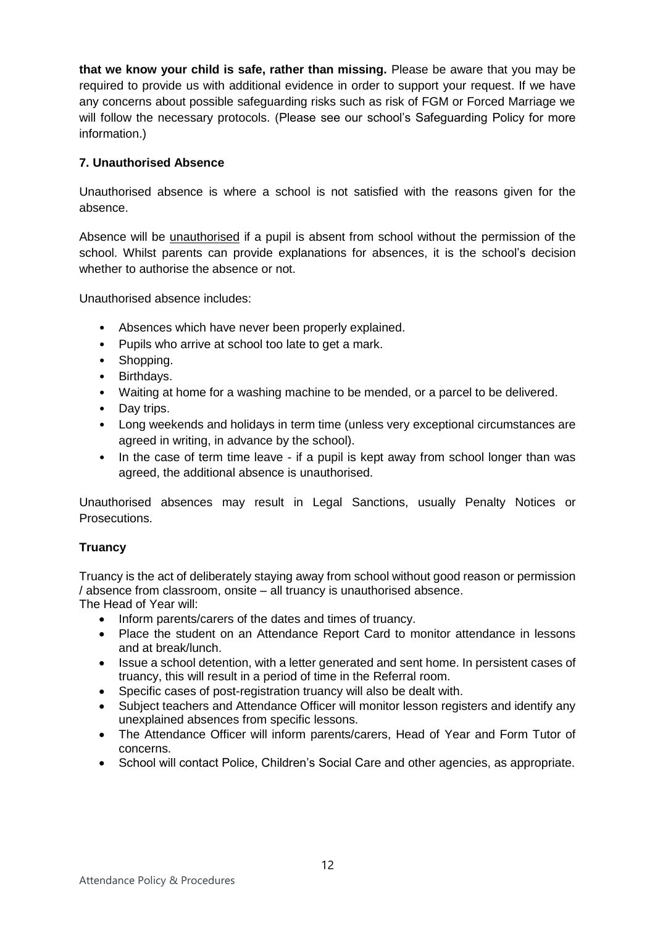**that we know your child is safe, rather than missing.** Please be aware that you may be required to provide us with additional evidence in order to support your request. If we have any concerns about possible safeguarding risks such as risk of FGM or Forced Marriage we will follow the necessary protocols. (Please see our school's Safeguarding Policy for more information.)

## <span id="page-11-0"></span>**7. Unauthorised Absence**

Unauthorised absence is where a school is not satisfied with the reasons given for the absence.

Absence will be unauthorised if a pupil is absent from school without the permission of the school. Whilst parents can provide explanations for absences, it is the school's decision whether to authorise the absence or not.

Unauthorised absence includes:

- Absences which have never been properly explained.
- Pupils who arrive at school too late to get a mark.
- Shopping.
- Birthdays.
- Waiting at home for a washing machine to be mended, or a parcel to be delivered.
- Day trips.
- Long weekends and holidays in term time (unless very exceptional circumstances are agreed in writing, in advance by the school).
- In the case of term time leave if a pupil is kept away from school longer than was agreed, the additional absence is unauthorised.

Unauthorised absences may result in Legal Sanctions, usually Penalty Notices or Prosecutions.

## **Truancy**

Truancy is the act of deliberately staying away from school without good reason or permission / absence from classroom, onsite – all truancy is unauthorised absence.

The Head of Year will:

- Inform parents/carers of the dates and times of truancy.
- Place the student on an Attendance Report Card to monitor attendance in lessons and at break/lunch.
- Issue a school detention, with a letter generated and sent home. In persistent cases of truancy, this will result in a period of time in the Referral room.
- Specific cases of post-registration truancy will also be dealt with.
- Subject teachers and Attendance Officer will monitor lesson registers and identify any unexplained absences from specific lessons.
- The Attendance Officer will inform parents/carers, Head of Year and Form Tutor of concerns.
- School will contact Police, Children's Social Care and other agencies, as appropriate.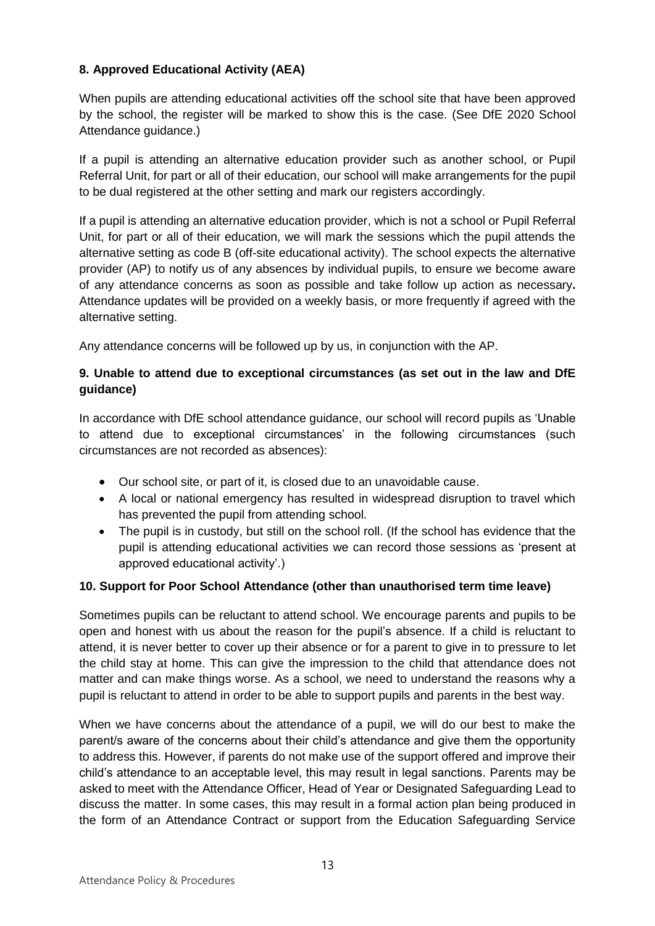## <span id="page-12-0"></span>**8. Approved Educational Activity (AEA)**

When pupils are attending educational activities off the school site that have been approved by the school, the register will be marked to show this is the case. (See DfE 2020 School Attendance guidance.)

If a pupil is attending an alternative education provider such as another school, or Pupil Referral Unit, for part or all of their education, our school will make arrangements for the pupil to be dual registered at the other setting and mark our registers accordingly.

If a pupil is attending an alternative education provider, which is not a school or Pupil Referral Unit, for part or all of their education, we will mark the sessions which the pupil attends the alternative setting as code B (off-site educational activity). The school expects the alternative provider (AP) to notify us of any absences by individual pupils, to ensure we become aware of any attendance concerns as soon as possible and take follow up action as necessary**.** Attendance updates will be provided on a weekly basis, or more frequently if agreed with the alternative setting.

Any attendance concerns will be followed up by us, in conjunction with the AP.

## <span id="page-12-1"></span>**9. Unable to attend due to exceptional circumstances (as set out in the law and DfE guidance)**

In accordance with DfE school attendance guidance, our school will record pupils as 'Unable to attend due to exceptional circumstances' in the following circumstances (such circumstances are not recorded as absences):

- Our school site, or part of it, is closed due to an unavoidable cause.
- A local or national emergency has resulted in widespread disruption to travel which has prevented the pupil from attending school.
- The pupil is in custody, but still on the school roll. (If the school has evidence that the pupil is attending educational activities we can record those sessions as 'present at approved educational activity'.)

## <span id="page-12-2"></span>**10. Support for Poor School Attendance (other than unauthorised term time leave)**

Sometimes pupils can be reluctant to attend school. We encourage parents and pupils to be open and honest with us about the reason for the pupil's absence. If a child is reluctant to attend, it is never better to cover up their absence or for a parent to give in to pressure to let the child stay at home. This can give the impression to the child that attendance does not matter and can make things worse. As a school, we need to understand the reasons why a pupil is reluctant to attend in order to be able to support pupils and parents in the best way.

When we have concerns about the attendance of a pupil, we will do our best to make the parent/s aware of the concerns about their child's attendance and give them the opportunity to address this. However, if parents do not make use of the support offered and improve their child's attendance to an acceptable level, this may result in legal sanctions. Parents may be asked to meet with the Attendance Officer, Head of Year or Designated Safeguarding Lead to discuss the matter. In some cases, this may result in a formal action plan being produced in the form of an Attendance Contract or support from the Education Safeguarding Service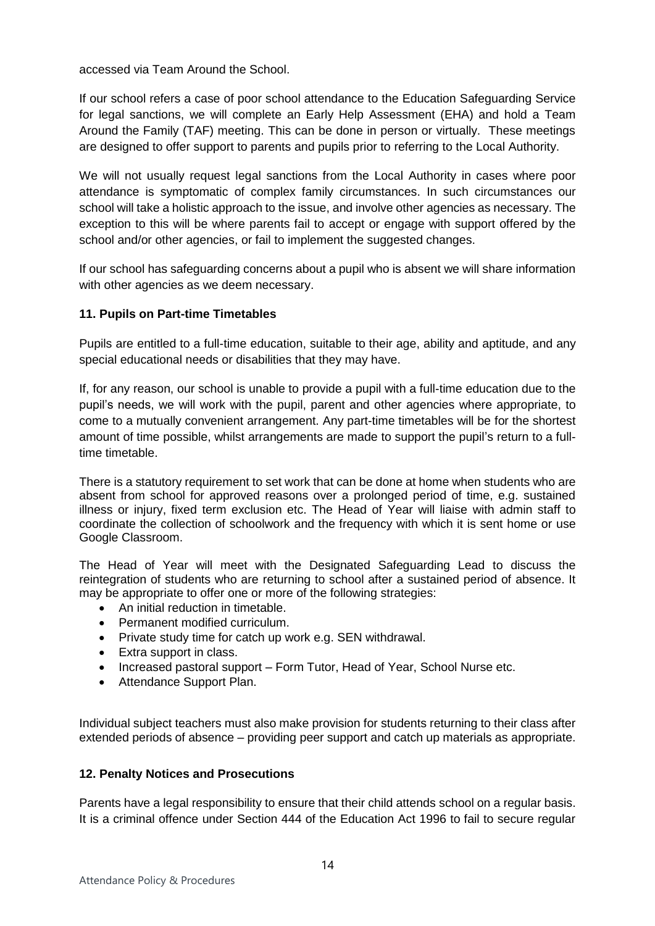accessed via Team Around the School.

If our school refers a case of poor school attendance to the Education Safeguarding Service for legal sanctions, we will complete an Early Help Assessment (EHA) and hold a Team Around the Family (TAF) meeting. This can be done in person or virtually. These meetings are designed to offer support to parents and pupils prior to referring to the Local Authority.

We will not usually request legal sanctions from the Local Authority in cases where poor attendance is symptomatic of complex family circumstances. In such circumstances our school will take a holistic approach to the issue, and involve other agencies as necessary. The exception to this will be where parents fail to accept or engage with support offered by the school and/or other agencies, or fail to implement the suggested changes.

If our school has safeguarding concerns about a pupil who is absent we will share information with other agencies as we deem necessary.

### <span id="page-13-0"></span>**11. Pupils on Part-time Timetables**

Pupils are entitled to a full-time education, suitable to their age, ability and aptitude, and any special educational needs or disabilities that they may have.

If, for any reason, our school is unable to provide a pupil with a full-time education due to the pupil's needs, we will work with the pupil, parent and other agencies where appropriate, to come to a mutually convenient arrangement. Any part-time timetables will be for the shortest amount of time possible, whilst arrangements are made to support the pupil's return to a fulltime timetable.

There is a statutory requirement to set work that can be done at home when students who are absent from school for approved reasons over a prolonged period of time, e.g. sustained illness or injury, fixed term exclusion etc. The Head of Year will liaise with admin staff to coordinate the collection of schoolwork and the frequency with which it is sent home or use Google Classroom.

The Head of Year will meet with the Designated Safeguarding Lead to discuss the reintegration of students who are returning to school after a sustained period of absence. It may be appropriate to offer one or more of the following strategies:

- An initial reduction in timetable.
- Permanent modified curriculum.
- Private study time for catch up work e.g. SEN withdrawal.
- Extra support in class.
- Increased pastoral support Form Tutor, Head of Year, School Nurse etc.
- Attendance Support Plan.

Individual subject teachers must also make provision for students returning to their class after extended periods of absence – providing peer support and catch up materials as appropriate.

#### <span id="page-13-1"></span>**12. Penalty Notices and Prosecutions**

Parents have a legal responsibility to ensure that their child attends school on a regular basis. It is a criminal offence under Section 444 of the Education Act 1996 to fail to secure regular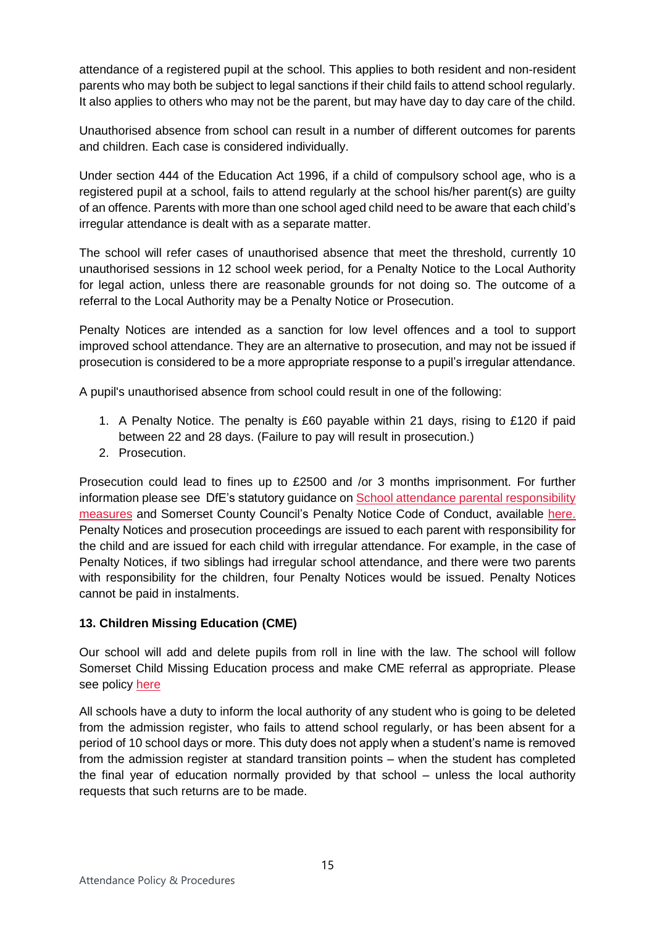attendance of a registered pupil at the school. This applies to both resident and non-resident parents who may both be subject to legal sanctions if their child fails to attend school regularly. It also applies to others who may not be the parent, but may have day to day care of the child.

Unauthorised absence from school can result in a number of different outcomes for parents and children. Each case is considered individually.

Under section 444 of the Education Act 1996, if a child of compulsory school age, who is a registered pupil at a school, fails to attend regularly at the school his/her parent(s) are guilty of an offence. Parents with more than one school aged child need to be aware that each child's irregular attendance is dealt with as a separate matter.

The school will refer cases of unauthorised absence that meet the threshold, currently 10 unauthorised sessions in 12 school week period, for a Penalty Notice to the Local Authority for legal action, unless there are reasonable grounds for not doing so. The outcome of a referral to the Local Authority may be a Penalty Notice or Prosecution.

Penalty Notices are intended as a sanction for low level offences and a tool to support improved school attendance. They are an alternative to prosecution, and may not be issued if prosecution is considered to be a more appropriate response to a pupil's irregular attendance.

A pupil's unauthorised absence from school could result in one of the following:

- 1. A Penalty Notice. The penalty is £60 payable within 21 days, rising to £120 if paid between 22 and 28 days. (Failure to pay will result in prosecution.)
- 2. Prosecution.

Prosecution could lead to fines up to £2500 and /or 3 months imprisonment. For further information please see DfE's statutory guidance o[n School attendance parental responsibility](https://www.gov.uk/government/publications/parental-responsibility-measures-for-behaviour-and-attendance)  [measures](https://www.gov.uk/government/publications/parental-responsibility-measures-for-behaviour-and-attendance) and Somerset County Council's Penalty Notice Code of Conduct, available [here.](http://wwwold.somerset.gov.uk/EasySiteWeb/GatewayLink.aspx?alId=69246) Penalty Notices and prosecution proceedings are issued to each parent with responsibility for the child and are issued for each child with irregular attendance. For example, in the case of Penalty Notices, if two siblings had irregular school attendance, and there were two parents with responsibility for the children, four Penalty Notices would be issued. Penalty Notices cannot be paid in instalments.

## <span id="page-14-0"></span>**13. Children Missing Education (CME)**

Our school will add and delete pupils from roll in line with the law. The school will follow Somerset Child Missing Education process and make CME referral as appropriate. Please see policy [here](http://www.somerset.gov.uk/EasySiteWeb/GatewayLink.aspx?alId=125707)

All schools have a duty to inform the local authority of any student who is going to be deleted from the admission register, who fails to attend school regularly, or has been absent for a period of 10 school days or more. This duty does not apply when a student's name is removed from the admission register at standard transition points – when the student has completed the final year of education normally provided by that school – unless the local authority requests that such returns are to be made.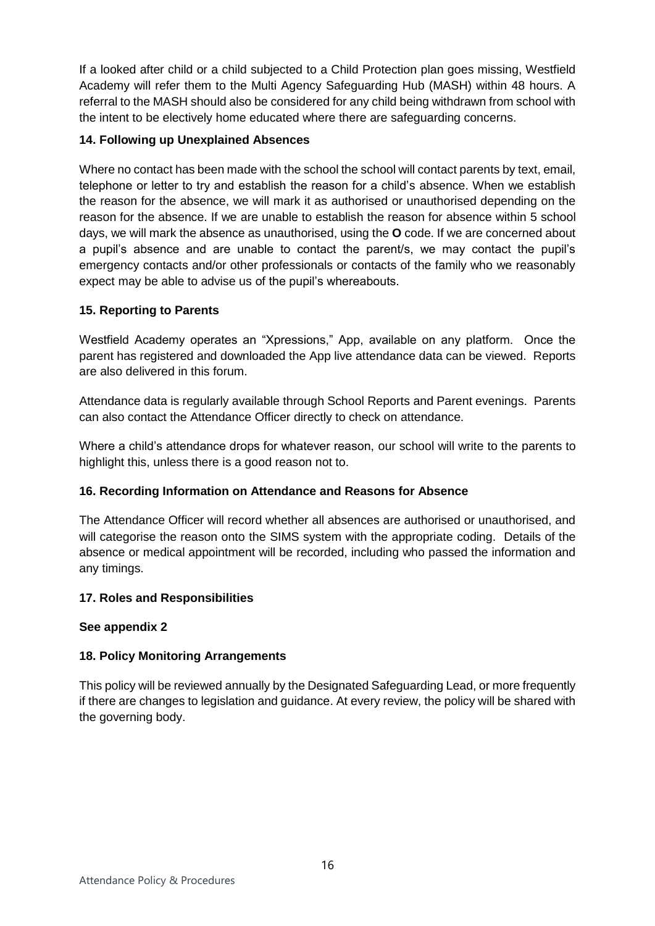If a looked after child or a child subjected to a Child Protection plan goes missing, Westfield Academy will refer them to the Multi Agency Safeguarding Hub (MASH) within 48 hours. A referral to the MASH should also be considered for any child being withdrawn from school with the intent to be electively home educated where there are safeguarding concerns.

## <span id="page-15-0"></span>**14. Following up Unexplained Absences**

Where no contact has been made with the school the school will contact parents by text, email, telephone or letter to try and establish the reason for a child's absence. When we establish the reason for the absence, we will mark it as authorised or unauthorised depending on the reason for the absence. If we are unable to establish the reason for absence within 5 school days, we will mark the absence as unauthorised, using the **O** code. If we are concerned about a pupil's absence and are unable to contact the parent/s, we may contact the pupil's emergency contacts and/or other professionals or contacts of the family who we reasonably expect may be able to advise us of the pupil's whereabouts.

## <span id="page-15-1"></span>**15. Reporting to Parents**

Westfield Academy operates an "Xpressions," App, available on any platform. Once the parent has registered and downloaded the App live attendance data can be viewed. Reports are also delivered in this forum.

Attendance data is regularly available through School Reports and Parent evenings. Parents can also contact the Attendance Officer directly to check on attendance.

Where a child's attendance drops for whatever reason, our school will write to the parents to highlight this, unless there is a good reason not to.

## <span id="page-15-2"></span>**16. Recording Information on Attendance and Reasons for Absence**

The Attendance Officer will record whether all absences are authorised or unauthorised, and will categorise the reason onto the SIMS system with the appropriate coding. Details of the absence or medical appointment will be recorded, including who passed the information and any timings.

#### <span id="page-15-3"></span>**17. Roles and Responsibilities**

#### **See appendix 2**

## <span id="page-15-4"></span>**18. Policy Monitoring Arrangements**

This policy will be reviewed annually by the Designated Safeguarding Lead, or more frequently if there are changes to legislation and guidance. At every review, the policy will be shared with the governing body.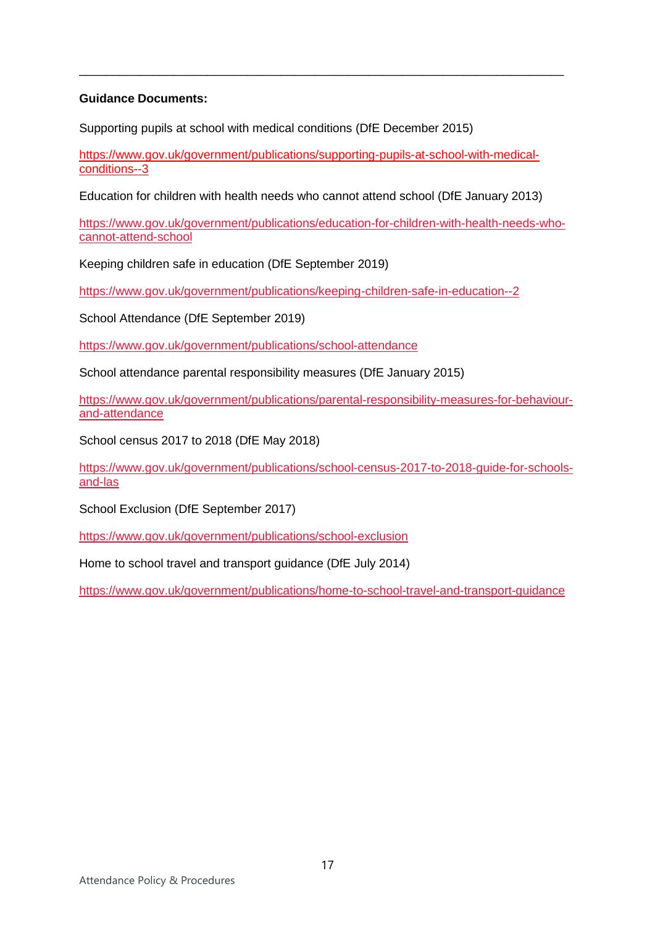### **Guidance Documents:**

Supporting pupils at school with medical conditions (DfE December 2015)

[https://www.gov.uk/government/publications/supporting-pupils-at-school-with-medical](https://www.gov.uk/government/publications/supporting-pupils-at-school-with-medical-conditions--3)[conditions--3](https://www.gov.uk/government/publications/supporting-pupils-at-school-with-medical-conditions--3)

\_\_\_\_\_\_\_\_\_\_\_\_\_\_\_\_\_\_\_\_\_\_\_\_\_\_\_\_\_\_\_\_\_\_\_\_\_\_\_\_\_\_\_\_\_\_\_\_\_\_\_\_\_\_\_\_\_\_\_\_\_\_\_\_\_\_\_\_\_\_\_\_

Education for children with health needs who cannot attend school (DfE January 2013)

[https://www.gov.uk/government/publications/education-for-children-with-health-needs-who](https://www.gov.uk/government/publications/education-for-children-with-health-needs-who-cannot-attend-school)[cannot-attend-school](https://www.gov.uk/government/publications/education-for-children-with-health-needs-who-cannot-attend-school)

Keeping children safe in education (DfE September 2019)

<https://www.gov.uk/government/publications/keeping-children-safe-in-education--2>

School Attendance (DfE September 2019)

<https://www.gov.uk/government/publications/school-attendance>

School attendance parental responsibility measures (DfE January 2015)

[https://www.gov.uk/government/publications/parental-responsibility-measures-for-behaviour](https://www.gov.uk/government/publications/parental-responsibility-measures-for-behaviour-and-attendance)[and-attendance](https://www.gov.uk/government/publications/parental-responsibility-measures-for-behaviour-and-attendance)

School census 2017 to 2018 (DfE May 2018)

[https://www.gov.uk/government/publications/school-census-2017-to-2018-guide-for-schools](https://www.gov.uk/government/publications/school-census-2017-to-2018-guide-for-schools-and-las)[and-las](https://www.gov.uk/government/publications/school-census-2017-to-2018-guide-for-schools-and-las)

School Exclusion (DfE September 2017)

<https://www.gov.uk/government/publications/school-exclusion>

Home to school travel and transport guidance (DfE July 2014)

<https://www.gov.uk/government/publications/home-to-school-travel-and-transport-guidance>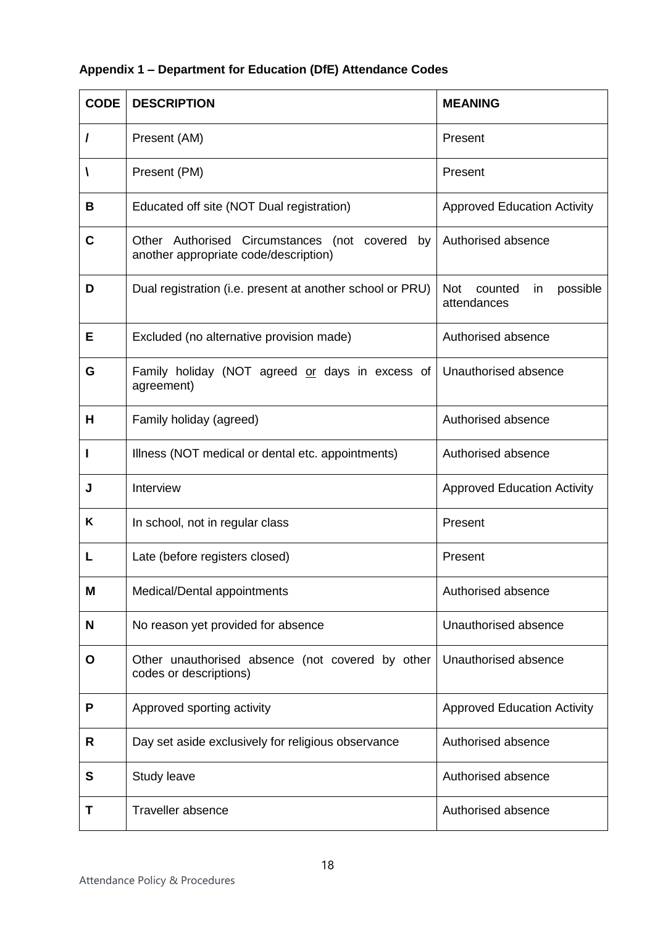## **Appendix 1 – Department for Education (DfE) Attendance Codes**

| <b>CODE</b> | <b>DESCRIPTION</b>                                                                         | <b>MEANING</b>                                   |
|-------------|--------------------------------------------------------------------------------------------|--------------------------------------------------|
|             | Present (AM)                                                                               | Present                                          |
| A           | Present (PM)                                                                               | Present                                          |
| В           | Educated off site (NOT Dual registration)                                                  | <b>Approved Education Activity</b>               |
| $\mathbf C$ | Other Authorised Circumstances (not covered<br>by<br>another appropriate code/description) | Authorised absence                               |
| D           | Dual registration (i.e. present at another school or PRU)                                  | Not<br>counted<br>possible<br>in.<br>attendances |
| Е           | Excluded (no alternative provision made)                                                   | Authorised absence                               |
| G           | Family holiday (NOT agreed or days in excess of<br>agreement)                              | Unauthorised absence                             |
| н           | Family holiday (agreed)                                                                    | Authorised absence                               |
|             | Illness (NOT medical or dental etc. appointments)                                          | Authorised absence                               |
| J           | Interview                                                                                  | <b>Approved Education Activity</b>               |
| Κ           | In school, not in regular class                                                            | Present                                          |
| L           | Late (before registers closed)                                                             | Present                                          |
| M           | Medical/Dental appointments                                                                | Authorised absence                               |
| N           | No reason yet provided for absence                                                         | Unauthorised absence                             |
| O           | Other unauthorised absence (not covered by other<br>codes or descriptions)                 | Unauthorised absence                             |
| P           | Approved sporting activity                                                                 | <b>Approved Education Activity</b>               |
| R           | Day set aside exclusively for religious observance                                         | Authorised absence                               |
| S           | Study leave                                                                                | Authorised absence                               |
| Τ           | <b>Traveller absence</b>                                                                   | Authorised absence                               |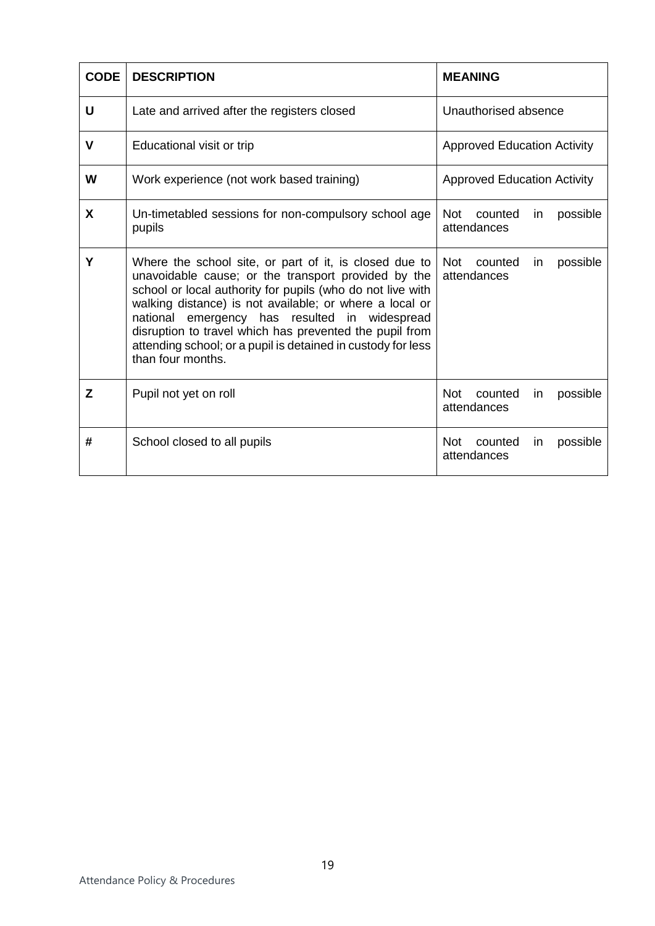| <b>CODE</b> | <b>DESCRIPTION</b>                                                                                                                                                                                                                                                                                                                                                                                                                      | <b>MEANING</b>                                          |  |  |
|-------------|-----------------------------------------------------------------------------------------------------------------------------------------------------------------------------------------------------------------------------------------------------------------------------------------------------------------------------------------------------------------------------------------------------------------------------------------|---------------------------------------------------------|--|--|
| U           | Late and arrived after the registers closed                                                                                                                                                                                                                                                                                                                                                                                             | Unauthorised absence                                    |  |  |
| $\mathbf v$ | Educational visit or trip                                                                                                                                                                                                                                                                                                                                                                                                               | <b>Approved Education Activity</b>                      |  |  |
| W           | Work experience (not work based training)                                                                                                                                                                                                                                                                                                                                                                                               | <b>Approved Education Activity</b>                      |  |  |
| X           | Un-timetabled sessions for non-compulsory school age<br>pupils                                                                                                                                                                                                                                                                                                                                                                          | Not<br>counted<br>possible<br>in.<br>attendances        |  |  |
| Y           | Where the school site, or part of it, is closed due to<br>unavoidable cause; or the transport provided by the<br>school or local authority for pupils (who do not live with<br>walking distance) is not available; or where a local or<br>national emergency has resulted in widespread<br>disruption to travel which has prevented the pupil from<br>attending school; or a pupil is detained in custody for less<br>than four months. | <b>Not</b><br>possible<br>counted<br>in<br>attendances  |  |  |
| Z           | Pupil not yet on roll                                                                                                                                                                                                                                                                                                                                                                                                                   | <b>Not</b><br>counted<br>possible<br>in<br>attendances  |  |  |
| #           | School closed to all pupils                                                                                                                                                                                                                                                                                                                                                                                                             | <b>Not</b><br>counted<br>possible<br>in.<br>attendances |  |  |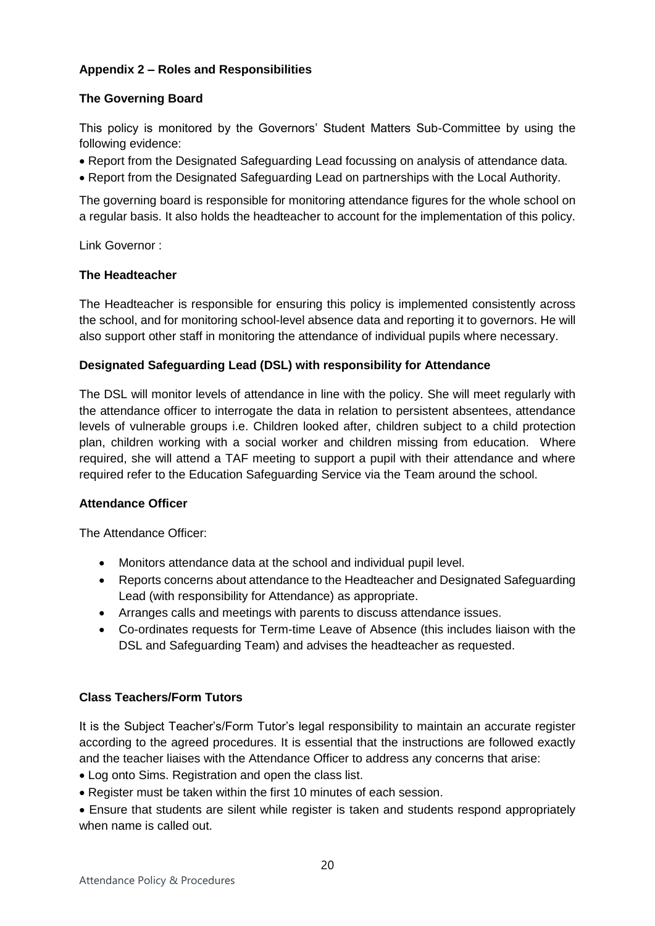## **Appendix 2 – Roles and Responsibilities**

### **The Governing Board**

This policy is monitored by the Governors' Student Matters Sub-Committee by using the following evidence:

- Report from the Designated Safeguarding Lead focussing on analysis of attendance data.
- Report from the Designated Safeguarding Lead on partnerships with the Local Authority.

The governing board is responsible for monitoring attendance figures for the whole school on a regular basis. It also holds the headteacher to account for the implementation of this policy.

Link Governor :

#### **The Headteacher**

The Headteacher is responsible for ensuring this policy is implemented consistently across the school, and for monitoring school-level absence data and reporting it to governors. He will also support other staff in monitoring the attendance of individual pupils where necessary.

#### **Designated Safeguarding Lead (DSL) with responsibility for Attendance**

The DSL will monitor levels of attendance in line with the policy. She will meet regularly with the attendance officer to interrogate the data in relation to persistent absentees, attendance levels of vulnerable groups i.e. Children looked after, children subject to a child protection plan, children working with a social worker and children missing from education. Where required, she will attend a TAF meeting to support a pupil with their attendance and where required refer to the Education Safeguarding Service via the Team around the school.

#### **Attendance Officer**

The Attendance Officer:

- Monitors attendance data at the school and individual pupil level.
- Reports concerns about attendance to the Headteacher and Designated Safeguarding Lead (with responsibility for Attendance) as appropriate.
- Arranges calls and meetings with parents to discuss attendance issues.
- Co-ordinates requests for Term-time Leave of Absence (this includes liaison with the DSL and Safeguarding Team) and advises the headteacher as requested.

#### **Class Teachers/Form Tutors**

It is the Subject Teacher's/Form Tutor's legal responsibility to maintain an accurate register according to the agreed procedures. It is essential that the instructions are followed exactly and the teacher liaises with the Attendance Officer to address any concerns that arise:

- Log onto Sims. Registration and open the class list.
- Register must be taken within the first 10 minutes of each session.
- Ensure that students are silent while register is taken and students respond appropriately when name is called out.